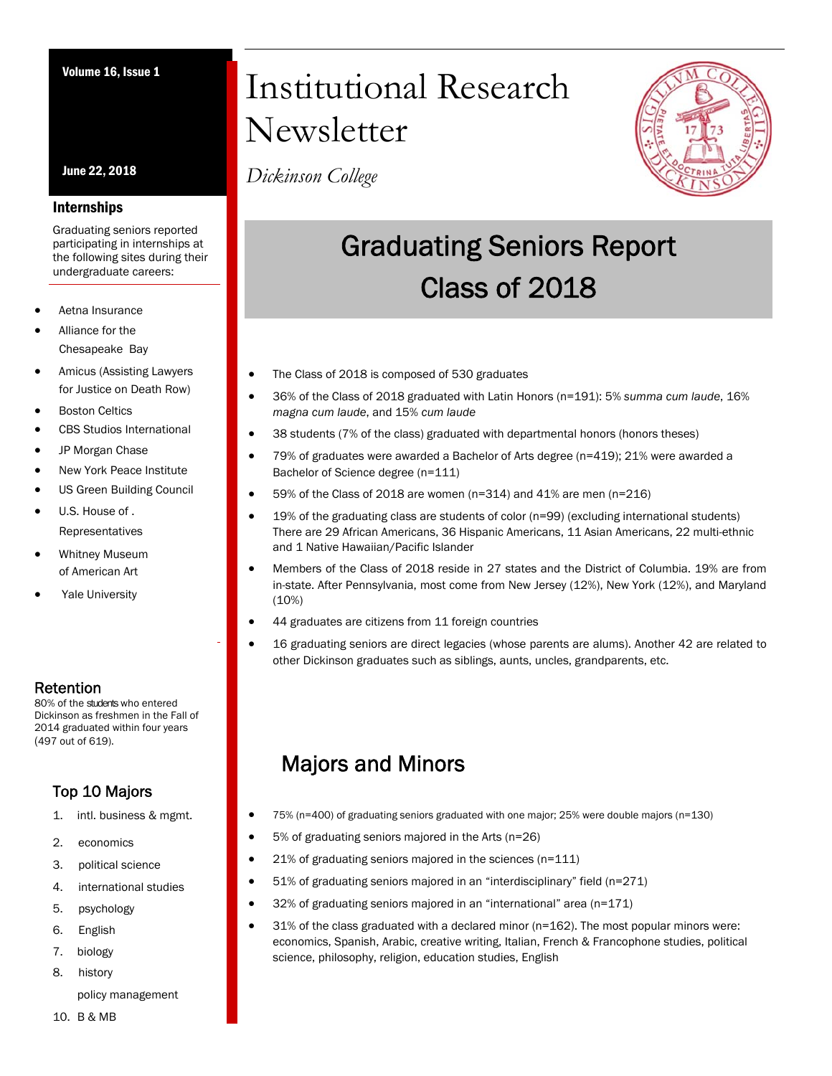June 22, 2018

### Internships

Graduating seniors reported participating in internships at the following sites during their undergraduate careers:

- Aetna Insurance
- Alliance for the Chesapeake Bay
- Amicus (Assisting Lawyers for Justice on Death Row)
- Boston Celtics
- CBS Studios International
- JP Morgan Chase
- New York Peace Institute
- US Green Building Council
- U.S. House of . Representatives
- Whitney Museum of American Art
- Yale University

## Retention

80% of the students who entered Dickinson as freshmen in the Fall of 2014 graduated within four years (497 out of 619).

## Top 10 Majors

- 1. intl. business & mgmt.
- 2. economics
- 3. political science
- 4. international studies
- 5. psychology
- 6. English
- 7. biology
- 8. history
	- policy management
- 10. B & MB

# Volume 16, Issue 1 Institutional Research **Newsletter**

*Dickinson College*



## Graduating Seniors Report Class of 2018

- The Class of 2018 is composed of 530 graduates
- 36% of the Class of 2018 graduated with Latin Honors (n=191): 5% *summa cum laude*, 16% *magna cum laude*, and 15% *cum laude*
- 38 students (7% of the class) graduated with departmental honors (honors theses)
- 79% of graduates were awarded a Bachelor of Arts degree (n=419); 21% were awarded a Bachelor of Science degree (n=111)
- 59% of the Class of 2018 are women (n=314) and 41% are men (n=216)
- 19% of the graduating class are students of color (n=99) (excluding international students) There are 29 African Americans, 36 Hispanic Americans, 11 Asian Americans, 22 multi-ethnic and 1 Native Hawaiian/Pacific Islander
- Members of the Class of 2018 reside in 27 states and the District of Columbia. 19% are from in-state. After Pennsylvania, most come from New Jersey (12%), New York (12%), and Maryland (10%)
- 44 graduates are citizens from 11 foreign countries
- 16 graduating seniors are direct legacies (whose parents are alums). Another 42 are related to other Dickinson graduates such as siblings, aunts, uncles, grandparents, etc.

## Majors and Minors

- 75% (n=400) of graduating seniors graduated with one major; 25% were double majors (n=130)
- 5% of graduating seniors majored in the Arts (n=26)
- 21% of graduating seniors majored in the sciences (n=111)
- 51% of graduating seniors majored in an "interdisciplinary" field (n=271)
- 32% of graduating seniors majored in an "international" area (n=171)
- 31% of the class graduated with a declared minor (n=162). The most popular minors were: economics, Spanish, Arabic, creative writing, Italian, French & Francophone studies, political science, philosophy, religion, education studies, English